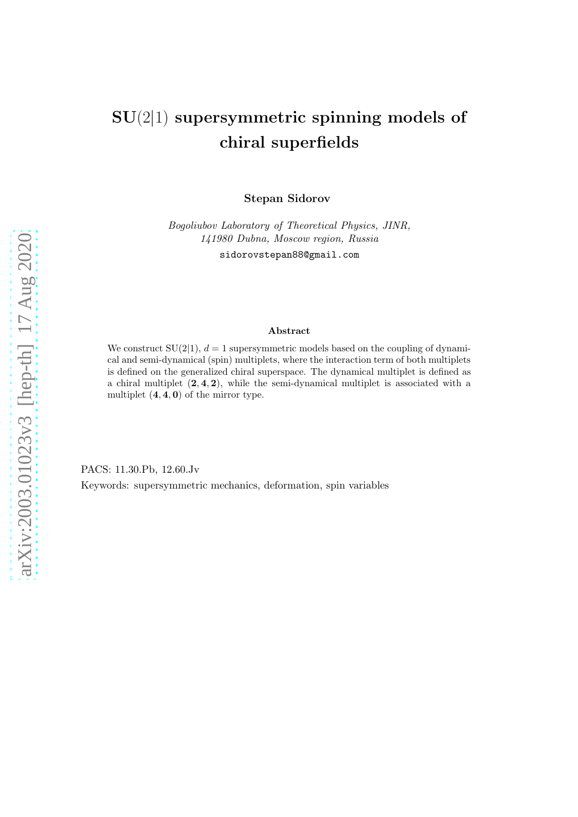# arXiv:2003.01023v3 [hep-th] 17 Aug 2020 [arXiv:2003.01023v3 \[hep-th\] 17 Aug 2020](http://arxiv.org/abs/2003.01023v3)

# SU(2|1) supersymmetric spinning models of chiral superfields

Stepan Sidorov

Bogoliubov Laboratory of Theoretical Physics, JINR, 141980 Dubna, Moscow region, Russia sidorovstepan88@gmail.com

#### Abstract

We construct  $SU(2|1)$ ,  $d=1$  supersymmetric models based on the coupling of dynamical and semi-dynamical (spin) multiplets, where the interaction term of both multiplets is defined on the generalized chiral superspace. The dynamical multiplet is defined as a chiral multiplet  $(2, 4, 2)$ , while the semi-dynamical multiplet is associated with a multiplet  $(4, 4, 0)$  of the mirror type.

PACS: 11.30.Pb, 12.60.Jv Keywords: supersymmetric mechanics, deformation, spin variables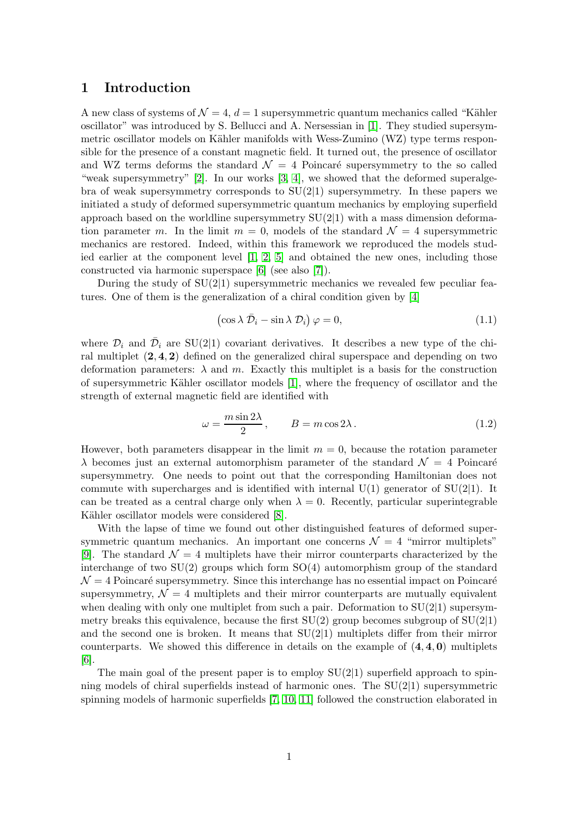## 1 Introduction

A new class of systems of  $\mathcal{N} = 4$ ,  $d = 1$  supersymmetric quantum mechanics called "Kähler" oscillator" was introduced by S. Bellucci and A. Nersessian in [\[1\]](#page-13-0). They studied supersymmetric oscillator models on Kähler manifolds with Wess-Zumino  $(WZ)$  type terms responsible for the presence of a constant magnetic field. It turned out, the presence of oscillator and WZ terms deforms the standard  $\mathcal{N} = 4$  Poincaré supersymmetry to the so called "weak supersymmetry" [\[2\]](#page-13-1). In our works [\[3,](#page-13-2) [4\]](#page-13-3), we showed that the deformed superalgebra of weak supersymmetry corresponds to  $SU(2|1)$  supersymmetry. In these papers we initiated a study of deformed supersymmetric quantum mechanics by employing superfield approach based on the worldline supersymmetry  $SU(2|1)$  with a mass dimension deformation parameter m. In the limit  $m = 0$ , models of the standard  $\mathcal{N} = 4$  supersymmetric mechanics are restored. Indeed, within this framework we reproduced the models studied earlier at the component level [\[1,](#page-13-0) [2,](#page-13-1) [5\]](#page-14-0) and obtained the new ones, including those constructed via harmonic superspace [\[6\]](#page-14-1) (see also [\[7\]](#page-14-2)).

During the study of  $SU(2|1)$  supersymmetric mechanics we revealed few peculiar features. One of them is the generalization of a chiral condition given by [\[4\]](#page-13-3)

<span id="page-1-0"></span>
$$
\left(\cos \lambda \,\bar{\mathcal{D}}_i - \sin \lambda \,\mathcal{D}_i\right)\varphi = 0,\tag{1.1}
$$

where  $\mathcal{D}_i$  and  $\bar{\mathcal{D}}_i$  are SU(2|1) covariant derivatives. It describes a new type of the chiral multiplet  $(2, 4, 2)$  defined on the generalized chiral superspace and depending on two deformation parameters:  $\lambda$  and m. Exactly this multiplet is a basis for the construction of supersymmetric K¨ahler oscillator models [\[1\]](#page-13-0), where the frequency of oscillator and the strength of external magnetic field are identified with

$$
\omega = \frac{m \sin 2\lambda}{2}, \qquad B = m \cos 2\lambda. \tag{1.2}
$$

However, both parameters disappear in the limit  $m = 0$ , because the rotation parameter  $\lambda$  becomes just an external automorphism parameter of the standard  $\mathcal{N} = 4$  Poincaré supersymmetry. One needs to point out that the corresponding Hamiltonian does not commute with supercharges and is identified with internal  $U(1)$  generator of  $SU(2|1)$ . It can be treated as a central charge only when  $\lambda = 0$ . Recently, particular superintegrable Kähler oscillator models were considered [\[8\]](#page-14-3).

With the lapse of time we found out other distinguished features of deformed supersymmetric quantum mechanics. An important one concerns  $\mathcal{N} = 4$  "mirror multiplets" [\[9\]](#page-14-4). The standard  $\mathcal{N} = 4$  multiplets have their mirror counterparts characterized by the interchange of two  $SU(2)$  groups which form  $SO(4)$  automorphism group of the standard  $\mathcal{N} = 4$  Poincaré supersymmetry. Since this interchange has no essential impact on Poincaré supersymmetry,  $\mathcal{N} = 4$  multiplets and their mirror counterparts are mutually equivalent when dealing with only one multiplet from such a pair. Deformation to  $SU(2|1)$  supersymmetry breaks this equivalence, because the first  $SU(2)$  group becomes subgroup of  $SU(2|1)$ and the second one is broken. It means that  $SU(2|1)$  multiplets differ from their mirror counterparts. We showed this difference in details on the example of  $(4, 4, 0)$  multiplets [\[6\]](#page-14-1).

The main goal of the present paper is to employ  $SU(2|1)$  superfield approach to spinning models of chiral superfields instead of harmonic ones. The  $SU(2|1)$  supersymmetric spinning models of harmonic superfields [\[7,](#page-14-2) [10,](#page-14-5) [11\]](#page-14-6) followed the construction elaborated in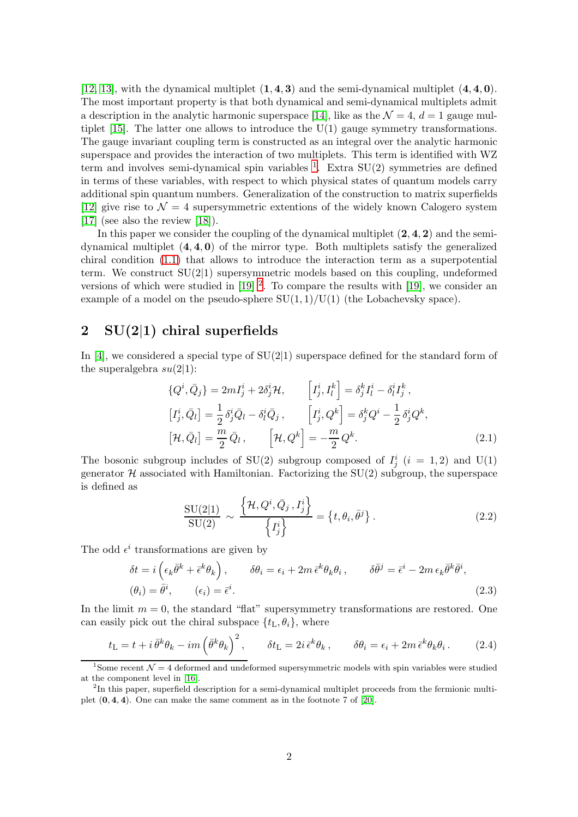[\[12,](#page-14-7) [13\]](#page-14-8), with the dynamical multiplet  $(1, 4, 3)$  and the semi-dynamical multiplet  $(4, 4, 0)$ . The most important property is that both dynamical and semi-dynamical multiplets admit a description in the analytic harmonic superspace [\[14\]](#page-14-9), like as the  $\mathcal{N}=4$ ,  $d=1$  gauge multiplet  $[15]$ . The latter one allows to introduce the U(1) gauge symmetry transformations. The gauge invariant coupling term is constructed as an integral over the analytic harmonic superspace and provides the interaction of two multiplets. This term is identified with WZ term and involves semi-dynamical spin variables  $<sup>1</sup>$  $<sup>1</sup>$  $<sup>1</sup>$ . Extra SU(2) symmetries are defined</sup> in terms of these variables, with respect to which physical states of quantum models carry additional spin quantum numbers. Generalization of the construction to matrix superfields [\[12\]](#page-14-7) give rise to  $\mathcal{N} = 4$  supersymmetric extentions of the widely known Calogero system [\[17\]](#page-15-0) (see also the review [\[18\]](#page-15-1)).

In this paper we consider the coupling of the dynamical multiplet  $(2, 4, 2)$  and the semidynamical multiplet  $(4, 4, 0)$  of the mirror type. Both multiplets satisfy the generalized chiral condition [\(1.1\)](#page-1-0) that allows to introduce the interaction term as a superpotential term. We construct SU(2|1) supersymmetric models based on this coupling, undeformed versions of which were studied in  $[19]$ <sup>[2](#page-2-1)</sup>. To compare the results with  $[19]$ , we consider an example of a model on the pseudo-sphere  $SU(1,1)/U(1)$  (the Lobachevsky space).

# 2 SU(2|1) chiral superfields

In [\[4\]](#page-13-3), we considered a special type of  $SU(2|1)$  superspace defined for the standard form of the superalgebra  $su(2|1)$ :

<span id="page-2-2"></span>
$$
\{Q^i, \bar{Q}_j\} = 2mI^i_j + 2\delta^i_j \mathcal{H}, \qquad \left[I^i_j, I^k_l\right] = \delta^k_j I^i_l - \delta^i_l I^k_j,
$$
  
\n
$$
\left[I^i_j, \bar{Q}_l\right] = \frac{1}{2} \delta^i_j \bar{Q}_l - \delta^i_l \bar{Q}_j, \qquad \left[I^i_j, Q^k\right] = \delta^k_j Q^i - \frac{1}{2} \delta^i_j Q^k,
$$
  
\n
$$
\left[\mathcal{H}, \bar{Q}_l\right] = \frac{m}{2} \bar{Q}_l, \qquad \left[\mathcal{H}, Q^k\right] = -\frac{m}{2} Q^k.
$$
\n(2.1)

The bosonic subgroup includes of SU(2) subgroup composed of  $I_j^i$  (i = 1, 2) and U(1) generator  $\mathcal H$  associated with Hamiltonian. Factorizing the SU(2) subgroup, the superspace is defined as

$$
\frac{\mathrm{SU}(2|1)}{\mathrm{SU}(2)} \sim \frac{\left\{ \mathcal{H}, Q^i, \bar{Q}_j, I_j^i \right\}}{\left\{ I_j^i \right\}} = \left\{ t, \theta_i, \bar{\theta}^j \right\}. \tag{2.2}
$$

The odd  $\epsilon^i$  transformations are given by

$$
\delta t = i \left( \epsilon_k \bar{\theta}^k + \bar{\epsilon}^k \theta_k \right), \qquad \delta \theta_i = \epsilon_i + 2m \, \bar{\epsilon}^k \theta_k \theta_i, \qquad \delta \bar{\theta}^j = \bar{\epsilon}^i - 2m \, \epsilon_k \bar{\theta}^k \bar{\theta}^i,
$$
  

$$
(\theta_i) = \bar{\theta}^i, \qquad (\epsilon_i) = \bar{\epsilon}^i.
$$
 (2.3)

In the limit  $m = 0$ , the standard "flat" supersymmetry transformations are restored. One can easily pick out the chiral subspace  $\{t_L, \theta_i\}$ , where

$$
t_{\rm L} = t + i \bar{\theta}^k \theta_k - im \left( \bar{\theta}^k \theta_k \right)^2, \qquad \delta t_{\rm L} = 2i \bar{\epsilon}^k \theta_k, \qquad \delta \theta_i = \epsilon_i + 2m \bar{\epsilon}^k \theta_k \theta_i. \tag{2.4}
$$

<span id="page-2-0"></span><sup>&</sup>lt;sup>1</sup>Some recent  $\mathcal{N}=4$  deformed and undeformed supersymmetric models with spin variables were studied at the component level in [\[16\]](#page-14-11).

<span id="page-2-1"></span><sup>&</sup>lt;sup>2</sup>In this paper, superfield description for a semi-dynamical multiplet proceeds from the fermionic multiplet  $(0, 4, 4)$ . One can make the same comment as in the footnote 7 of [\[20\]](#page-15-3).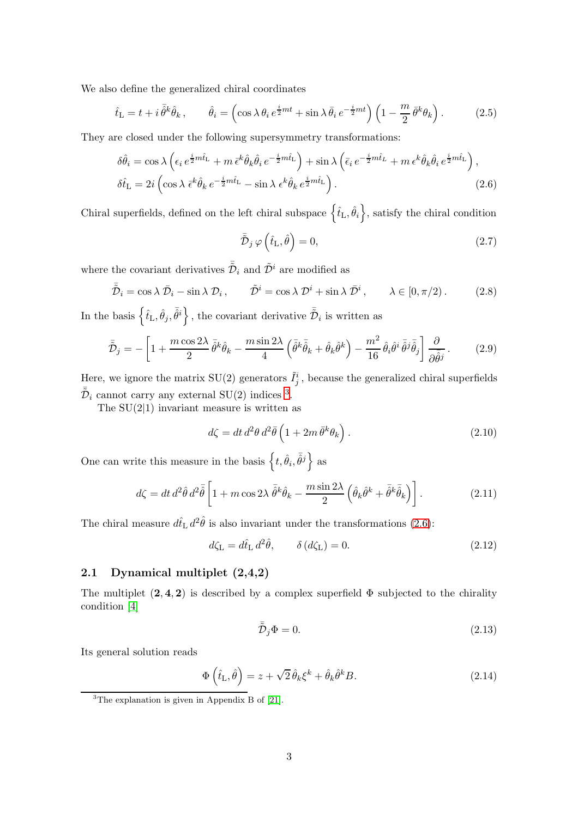We also define the generalized chiral coordinates

<span id="page-3-3"></span>
$$
\hat{t}_{\rm L} = t + i \,\bar{\hat{\theta}}^k \hat{\theta}_k \,, \qquad \hat{\theta}_i = \left(\cos \lambda \,\theta_i \,e^{\frac{i}{2}mt} + \sin \lambda \,\bar{\theta}_i \,e^{-\frac{i}{2}mt}\right) \left(1 - \frac{m}{2} \,\bar{\theta}^k \theta_k\right). \tag{2.5}
$$

They are closed under the following supersymmetry transformations:

<span id="page-3-1"></span>
$$
\delta\hat{\theta}_{i} = \cos\lambda \left( \epsilon_{i} e^{\frac{i}{2}m\hat{t}_{\mathrm{L}}} + m \,\bar{\epsilon}^{k} \hat{\theta}_{k} \hat{\theta}_{i} e^{-\frac{i}{2}m\hat{t}_{\mathrm{L}}} \right) + \sin\lambda \left( \bar{\epsilon}_{i} e^{-\frac{i}{2}m\hat{t}_{\mathrm{L}}} + m \,\epsilon^{k} \hat{\theta}_{k} \hat{\theta}_{i} e^{\frac{i}{2}m\hat{t}_{\mathrm{L}}} \right),
$$
  

$$
\delta\hat{t}_{\mathrm{L}} = 2i \left( \cos\lambda \,\bar{\epsilon}^{k} \hat{\theta}_{k} e^{-\frac{i}{2}m\hat{t}_{\mathrm{L}}} - \sin\lambda \,\epsilon^{k} \hat{\theta}_{k} e^{\frac{i}{2}m\hat{t}_{\mathrm{L}}} \right).
$$
 (2.6)

Chiral superfields, defined on the left chiral subspace  $\{\hat{t}_L, \hat{\theta}_i\}$ , satisfy the chiral condition

$$
\tilde{\tilde{\mathcal{D}}}_{j}\,\varphi\left(\hat{t}_{\mathrm{L}},\hat{\theta}\right)=0,\tag{2.7}
$$

where the covariant derivatives  $\bar{\tilde{\mathcal{D}}}_i$  and  $\tilde{\mathcal{D}}^i$  are modified as

$$
\bar{\tilde{\mathcal{D}}}_i = \cos \lambda \, \bar{\mathcal{D}}_i - \sin \lambda \, \mathcal{D}_i \,, \qquad \tilde{\mathcal{D}}^i = \cos \lambda \, \mathcal{D}^i + \sin \lambda \, \bar{\mathcal{D}}^i \,, \qquad \lambda \in [0, \pi/2) \,. \tag{2.8}
$$

In the basis  $\left\{\hat{t}_\text{L}, \hat{\theta}_j, \bar{\hat{\theta}}^i\right\}$ , the covariant derivative  $\bar{\tilde{\mathcal{D}}}_i$  is written as

$$
\bar{\tilde{\mathcal{D}}}_{j} = -\left[1 + \frac{m\cos 2\lambda}{2} \,\bar{\hat{\theta}}^{k}\hat{\theta}_{k} - \frac{m\sin 2\lambda}{4} \left(\bar{\hat{\theta}}^{k}\bar{\hat{\theta}}_{k} + \hat{\theta}_{k}\hat{\theta}^{k}\right) - \frac{m^{2}}{16} \,\hat{\theta}_{i}\hat{\theta}^{i}\,\bar{\hat{\theta}}^{j}\bar{\hat{\theta}}_{j}\right] \frac{\partial}{\partial\bar{\hat{\theta}}^{j}}.
$$
 (2.9)

Here, we ignore the matrix  $SU(2)$  generators  $\tilde{I}_j^i$ , because the generalized chiral superfields  $\bar{\tilde{\mathcal{D}}}_i$  cannot carry any external SU(2) indices <sup>[3](#page-3-0)</sup>.

The  $SU(2|1)$  invariant measure is written as

$$
d\zeta = dt d^2\theta d^2\bar{\theta} \left( 1 + 2m \bar{\theta}^k \theta_k \right). \tag{2.10}
$$

One can write this measure in the basis  $\left\{t, \hat{\theta}_i, \bar{\hat{\theta}}^j\right\}$  as

<span id="page-3-2"></span>
$$
d\zeta = dt \, d^2 \hat{\theta} \, d^2 \bar{\hat{\theta}} \left[ 1 + m \cos 2\lambda \, \bar{\hat{\theta}}^k \hat{\theta}_k - \frac{m \sin 2\lambda}{2} \left( \hat{\theta}_k \hat{\theta}^k + \bar{\hat{\theta}}^k \bar{\hat{\theta}}_k \right) \right]. \tag{2.11}
$$

The chiral measure  $d\hat{t}_\text{L} d^2\hat{\theta}$  is also invariant under the transformations [\(2.6\)](#page-3-1):

$$
d\zeta_{\mathcal{L}} = d\hat{t}_{\mathcal{L}} d^2 \hat{\theta}, \qquad \delta(d\zeta_{\mathcal{L}}) = 0.
$$
 (2.12)

### 2.1 Dynamical multiplet (2,4,2)

The multiplet  $(2, 4, 2)$  is described by a complex superfield  $\Phi$  subjected to the chirality condition [\[4\]](#page-13-3)

$$
\tilde{\bar{\mathcal{D}}}_j \Phi = 0. \tag{2.13}
$$

Its general solution reads

$$
\Phi\left(\hat{t}_{\mathrm{L}},\hat{\theta}\right) = z + \sqrt{2}\,\hat{\theta}_k\xi^k + \hat{\theta}_k\hat{\theta}^k B. \tag{2.14}
$$

<span id="page-3-0"></span> ${}^{3}$ The explanation is given in Appendix B of [\[21\]](#page-15-4).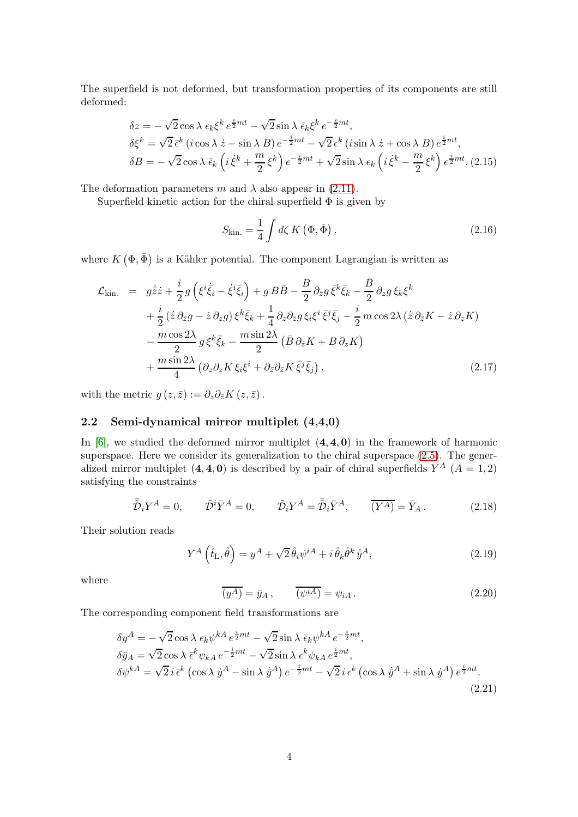The superfield is not deformed, but transformation properties of its components are still deformed:

$$
\delta z = -\sqrt{2} \cos \lambda \epsilon_k \xi^k e^{\frac{i}{2}mt} - \sqrt{2} \sin \lambda \bar{\epsilon}_k \xi^k e^{-\frac{i}{2}mt},
$$
  
\n
$$
\delta \xi^k = \sqrt{2} \bar{\epsilon}^k (i \cos \lambda \dot{z} - \sin \lambda B) e^{-\frac{i}{2}mt} - \sqrt{2} \epsilon^k (i \sin \lambda \dot{z} + \cos \lambda B) e^{\frac{i}{2}mt},
$$
  
\n
$$
\delta B = -\sqrt{2} \cos \lambda \bar{\epsilon}_k (i \dot{\xi}^k + \frac{m}{2} \xi^k) e^{-\frac{i}{2}mt} + \sqrt{2} \sin \lambda \epsilon_k (i \dot{\xi}^k - \frac{m}{2} \xi^k) e^{\frac{i}{2}mt}. (2.15)
$$

The deformation parameters m and  $\lambda$  also appear in [\(2.11\)](#page-3-2).

Superfield kinetic action for the chiral superfield  $\Phi$  is given by

$$
S_{\rm kin.} = \frac{1}{4} \int d\zeta \, K \left(\Phi, \bar{\Phi}\right). \tag{2.16}
$$

where  $K(\Phi, \bar{\Phi})$  is a Kähler potential. The component Lagrangian is written as

<span id="page-4-2"></span>
$$
\mathcal{L}_{\text{kin.}} = g\dot{\bar{z}}\dot{z} + \frac{i}{2}g\left(\xi^{i}\dot{\bar{\xi}}_{i} - \dot{\xi}^{i}\bar{\xi}_{i}\right) + g\,B\bar{B} - \frac{B}{2}\,\partial_{\bar{z}}g\,\bar{\xi}^{k}\bar{\xi}_{k} - \frac{\bar{B}}{2}\,\partial_{z}g\,\xi_{k}\xi^{k} \n+ \frac{i}{2}(\dot{\bar{z}}\,\partial_{\bar{z}}g - \dot{z}\,\partial_{z}g)\,\xi^{k}\bar{\xi}_{k} + \frac{1}{4}\,\partial_{z}\partial_{\bar{z}}g\,\xi_{i}\xi^{i}\,\bar{\xi}^{j}\bar{\xi}_{j} - \frac{i}{2}\,m\cos 2\lambda\,(\dot{\bar{z}}\,\partial_{\bar{z}}K - \dot{z}\,\partial_{z}K) \n- \frac{m\cos 2\lambda}{2}g\,\xi^{k}\bar{\xi}_{k} - \frac{m\sin 2\lambda}{2}\left(\bar{B}\,\partial_{\bar{z}}K + B\,\partial_{z}K\right) \n+ \frac{m\sin 2\lambda}{4}\left(\partial_{z}\partial_{z}K\,\xi_{i}\xi^{i} + \partial_{\bar{z}}\partial_{\bar{z}}K\,\bar{\xi}^{j}\bar{\xi}_{j}\right). \tag{2.17}
$$

with the metric  $g(z, \bar{z}) := \partial_z \partial_{\bar{z}} K(z, \bar{z})$ .

#### 2.2 Semi-dynamical mirror multiplet (4,4,0)

In  $[6]$ , we studied the deformed mirror multiplet  $(4, 4, 0)$  in the framework of harmonic superspace. Here we consider its generalization to the chiral superspace  $(2.5)$ . The generalized mirror multiplet  $(4, 4, 0)$  is described by a pair of chiral superfields  $Y^A$   $(A = 1, 2)$ satisfying the constraints

$$
\bar{\tilde{\mathcal{D}}}_{i} Y^{A} = 0, \qquad \tilde{\mathcal{D}}^{i} \bar{Y}^{A} = 0, \qquad \tilde{\mathcal{D}}_{i} Y^{A} = \bar{\tilde{\mathcal{D}}}_{i} \bar{Y}^{A}, \qquad \overline{(Y^{A})} = \bar{Y}_{A}. \tag{2.18}
$$

Their solution reads

<span id="page-4-0"></span>
$$
Y^{A}\left(\hat{t}_{\mathrm{L}},\hat{\theta}\right)=y^{A}+\sqrt{2}\,\hat{\theta}_{i}\psi^{iA}+i\,\hat{\theta}_{k}\hat{\theta}^{k}\,\dot{\bar{y}}^{A},\tag{2.19}
$$

where

$$
\overline{(y^A)} = \bar{y}_A, \qquad \overline{(\psi^{iA})} = \psi_{iA}. \qquad (2.20)
$$

The corresponding component field transformations are

<span id="page-4-1"></span>
$$
\delta y^A = -\sqrt{2} \cos \lambda \epsilon_k \psi^{kA} e^{\frac{i}{2}mt} - \sqrt{2} \sin \lambda \bar{\epsilon}_k \psi^{kA} e^{-\frac{i}{2}mt},
$$
  
\n
$$
\delta \bar{y}_A = \sqrt{2} \cos \lambda \bar{\epsilon}^k \psi_{kA} e^{-\frac{i}{2}mt} - \sqrt{2} \sin \lambda \epsilon^k \psi_{kA} e^{\frac{i}{2}mt},
$$
  
\n
$$
\delta \psi^{kA} = \sqrt{2} i \bar{\epsilon}^k \left( \cos \lambda \dot{y}^A - \sin \lambda \dot{y}^A \right) e^{-\frac{i}{2}mt} - \sqrt{2} i \epsilon^k \left( \cos \lambda \dot{y}^A + \sin \lambda \dot{y}^A \right) e^{\frac{i}{2}mt}.
$$
\n(2.21)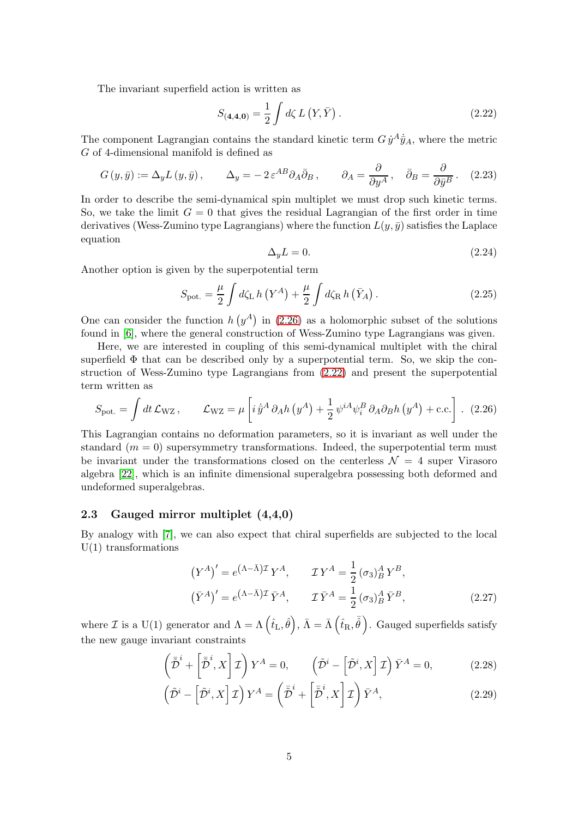The invariant superfield action is written as

<span id="page-5-1"></span>
$$
S_{(4,4,0)} = \frac{1}{2} \int d\zeta \, L\left(Y,\bar{Y}\right). \tag{2.22}
$$

The component Lagrangian contains the standard kinetic term  $G \dot{y}^A \dot{\bar{y}}_A$ , where the metric G of 4-dimensional manifold is defined as

$$
G(y,\bar{y}) := \Delta_y L(y,\bar{y}), \qquad \Delta_y = -2 \varepsilon^{AB} \partial_A \bar{\partial}_B, \qquad \partial_A = \frac{\partial}{\partial y^A}, \quad \bar{\partial}_B = \frac{\partial}{\partial \bar{y}^B}.
$$
 (2.23)

In order to describe the semi-dynamical spin multiplet we must drop such kinetic terms. So, we take the limit  $G = 0$  that gives the residual Lagrangian of the first order in time derivatives (Wess-Zumino type Lagrangians) where the function  $L(y, \bar{y})$  satisfies the Laplace equation

$$
\Delta_y L = 0. \tag{2.24}
$$

Another option is given by the superpotential term

<span id="page-5-4"></span>
$$
S_{\text{pot.}} = \frac{\mu}{2} \int d\zeta_{\text{L}} h \left( Y^A \right) + \frac{\mu}{2} \int d\zeta_{\text{R}} h \left( \bar{Y}_A \right). \tag{2.25}
$$

One can consider the function  $h(y^A)$  in [\(2.26\)](#page-5-0) as a holomorphic subset of the solutions found in [\[6\]](#page-14-1), where the general construction of Wess-Zumino type Lagrangians was given.

Here, we are interested in coupling of this semi-dynamical multiplet with the chiral superfield  $\Phi$  that can be described only by a superpotential term. So, we skip the construction of Wess-Zumino type Lagrangians from [\(2.22\)](#page-5-1) and present the superpotential term written as

<span id="page-5-0"></span>
$$
S_{\text{pot.}} = \int dt \, \mathcal{L}_{\text{WZ}} \,, \qquad \mathcal{L}_{\text{WZ}} = \mu \left[ i \, \dot{\bar{y}}^A \, \partial_A h \left( y^A \right) + \frac{1}{2} \, \psi^{iA} \psi_i^B \, \partial_A \partial_B h \left( y^A \right) + \text{c.c.} \right] \,. \tag{2.26}
$$

This Lagrangian contains no deformation parameters, so it is invariant as well under the standard  $(m = 0)$  supersymmetry transformations. Indeed, the superpotential term must be invariant under the transformations closed on the centerless  $\mathcal{N} = 4$  super Virasoro algebra [\[22\]](#page-15-5), which is an infinite dimensional superalgebra possessing both deformed and undeformed superalgebras.

#### 2.3 Gauged mirror multiplet (4,4,0)

By analogy with [\[7\]](#page-14-2), we can also expect that chiral superfields are subjected to the local  $U(1)$  transformations

<span id="page-5-3"></span>
$$
(Y^A)' = e^{(\Lambda - \bar{\Lambda})\mathcal{I}} Y^A, \qquad \mathcal{I} Y^A = \frac{1}{2} (\sigma_3)_B^A Y^B,
$$
  

$$
(\bar{Y}^A)' = e^{(\Lambda - \bar{\Lambda})\mathcal{I}} \bar{Y}^A, \qquad \mathcal{I} \bar{Y}^A = \frac{1}{2} (\sigma_3)_B^A \bar{Y}^B,
$$
 (2.27)

where  $\mathcal I$  is a U(1) generator and  $\Lambda = \Lambda \left( \hat t_{\rm L}, \hat \theta \right), \, \bar \Lambda = \bar \Lambda \left( \hat t_{\rm R}, \bar{\hat \theta} \right)$ . Gauged superfields satisfy the new gauge invariant constraints

<span id="page-5-2"></span>
$$
\left(\tilde{\bar{\mathcal{D}}}^i + \left[\tilde{\bar{\mathcal{D}}}^i, X\right] \mathcal{I}\right) Y^A = 0, \qquad \left(\tilde{\mathcal{D}}^i - \left[\tilde{\mathcal{D}}^i, X\right] \mathcal{I}\right) \bar{Y}^A = 0,\tag{2.28}
$$

$$
\left(\tilde{\mathcal{D}}^i - \left[\tilde{\mathcal{D}}^i, X\right] \mathcal{I}\right) Y^A = \left(\bar{\tilde{\mathcal{D}}}^i + \left[\bar{\tilde{\mathcal{D}}}^i, X\right] \mathcal{I}\right) \bar{Y}^A,\tag{2.29}
$$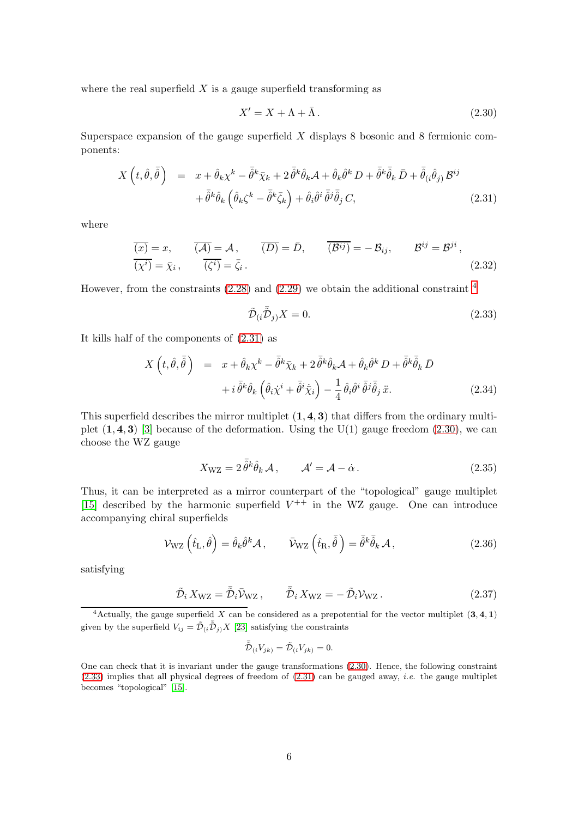where the real superfield  $X$  is a gauge superfield transforming as

<span id="page-6-2"></span>
$$
X' = X + \Lambda + \bar{\Lambda} \,. \tag{2.30}
$$

Superspace expansion of the gauge superfield  $X$  displays 8 bosonic and 8 fermionic components:

<span id="page-6-1"></span>
$$
X\left(t,\hat{\theta},\bar{\hat{\theta}}\right) = x + \hat{\theta}_k \chi^k - \bar{\hat{\theta}}^k \bar{\chi}_k + 2 \bar{\hat{\theta}}^k \hat{\theta}_k \mathcal{A} + \hat{\theta}_k \hat{\theta}^k D + \bar{\hat{\theta}}^k \bar{\hat{\theta}}_k \bar{D} + \bar{\hat{\theta}}_{(i} \hat{\theta}_{j)} \mathcal{B}^{ij} + \bar{\hat{\theta}}^k \hat{\theta}_k \left(\hat{\theta}_k \zeta^k - \bar{\hat{\theta}}^k \bar{\zeta}_k\right) + \hat{\theta}_i \hat{\theta}^i \bar{\hat{\theta}}^j \bar{\hat{\theta}}_j C, \tag{2.31}
$$

where

$$
\overline{(x)} = x, \qquad \overline{(A)} = A, \qquad \overline{(D)} = \bar{D}, \qquad \overline{(B^{ij})} = -\mathcal{B}_{ij}, \qquad \mathcal{B}^{ij} = \mathcal{B}^{ji},
$$
  

$$
\overline{(x^{i})} = \bar{\chi}_{i}, \qquad \overline{(\zeta^{i})} = \bar{\zeta}_{i}.
$$
 (2.32)

However, from the constraints  $(2.28)$  and  $(2.29)$  we obtain the additional constraint  $<sup>4</sup>$  $<sup>4</sup>$  $<sup>4</sup>$ </sup>

<span id="page-6-3"></span>
$$
\tilde{\mathcal{D}}_{(i}\bar{\tilde{\mathcal{D}}}_{j)}X = 0. \tag{2.33}
$$

It kills half of the components of [\(2.31\)](#page-6-1) as

$$
X\left(t,\hat{\theta},\bar{\hat{\theta}}\right) = x + \hat{\theta}_k \chi^k - \bar{\hat{\theta}}^k \bar{\chi}_k + 2 \bar{\hat{\theta}}^k \hat{\theta}_k \mathcal{A} + \hat{\theta}_k \hat{\theta}^k D + \bar{\hat{\theta}}^k \bar{\hat{\theta}}_k \bar{D} + i \bar{\hat{\theta}}^k \hat{\theta}_k \left(\hat{\theta}_i \dot{\chi}^i + \bar{\hat{\theta}}^i \dot{\bar{\chi}}_i\right) - \frac{1}{4} \hat{\theta}_i \hat{\theta}^i \bar{\hat{\theta}}^j \bar{\hat{\theta}}_j \ddot{x}.
$$
\n(2.34)

This superfield describes the mirror multiplet  $(1, 4, 3)$  that differs from the ordinary multiplet  $(1, 4, 3)$  [\[3\]](#page-13-2) because of the deformation. Using the U(1) gauge freedom  $(2.30)$ , we can choose the WZ gauge

<span id="page-6-4"></span>
$$
X_{\rm WZ} = 2\,\bar{\theta}^k \hat{\theta}_k \,\mathcal{A} \,, \qquad \mathcal{A}' = \mathcal{A} - \dot{\alpha} \,. \tag{2.35}
$$

Thus, it can be interpreted as a mirror counterpart of the "topological" gauge multiplet [\[15\]](#page-14-10) described by the harmonic superfield  $V^{++}$  in the WZ gauge. One can introduce accompanying chiral superfields

<span id="page-6-5"></span>
$$
\mathcal{V}_{\rm WZ}\left(\hat{t}_{\rm L},\hat{\theta}\right) = \hat{\theta}_k \hat{\theta}^k \mathcal{A}, \qquad \bar{\mathcal{V}}_{\rm WZ}\left(\hat{t}_{\rm R},\bar{\hat{\theta}}\right) = \bar{\hat{\theta}}^k \bar{\hat{\theta}}_k \mathcal{A}, \qquad (2.36)
$$

satisfying

$$
\tilde{\mathcal{D}}_i X_{\rm WZ} = \bar{\tilde{\mathcal{D}}}_i \bar{\mathcal{V}}_{\rm WZ} , \qquad \bar{\tilde{\mathcal{D}}}_i X_{\rm WZ} = -\tilde{\mathcal{D}}_i \mathcal{V}_{\rm WZ} . \qquad (2.37)
$$

<span id="page-6-0"></span><sup>4</sup>Actually, the gauge superfield X can be considered as a prepotential for the vector multiplet  $(3, 4, 1)$ given by the superfield  $V_{ij} = \tilde{\mathcal{D}}_{(i} \bar{\tilde{\mathcal{D}}}_{j)} X$  [\[23\]](#page-15-6) satisfying the constraints

$$
\bar{\tilde{\mathcal{D}}}_{(i}V_{jk)} = \tilde{\mathcal{D}}_{(i}V_{jk)} = 0.
$$

One can check that it is invariant under the gauge transformations [\(2.30\)](#page-6-2). Hence, the following constraint  $(2.33)$  implies that all physical degrees of freedom of  $(2.31)$  can be gauged away, *i.e.* the gauge multiplet becomes "topological" [\[15\]](#page-14-10).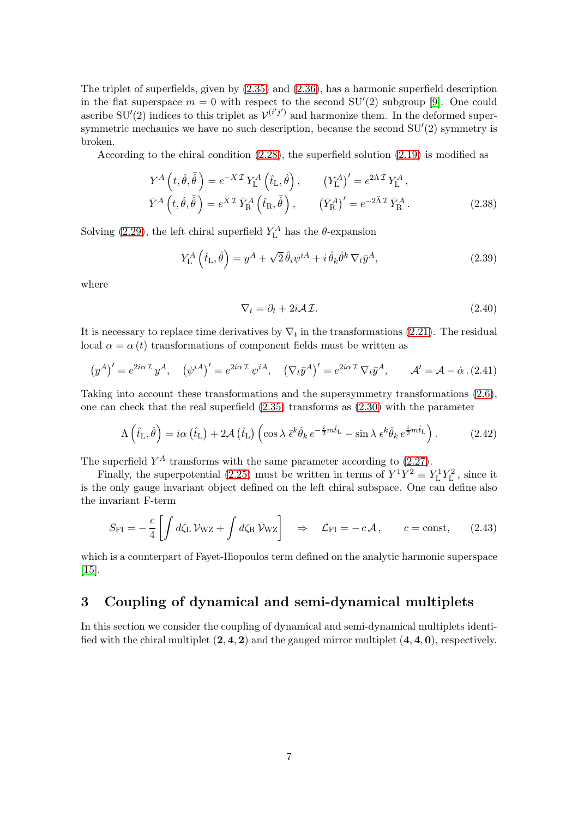The triplet of superfields, given by [\(2.35\)](#page-6-4) and [\(2.36\)](#page-6-5), has a harmonic superfield description in the flat superspace  $m = 0$  with respect to the second SU'(2) subgroup [\[9\]](#page-14-4). One could ascribe SU'(2) indices to this triplet as  $\mathcal{V}^{(i'j')}$  and harmonize them. In the deformed supersymmetric mechanics we have no such description, because the second  $SU'(2)$  symmetry is broken.

According to the chiral condition  $(2.28)$ , the superfield solution  $(2.19)$  is modified as

$$
Y^{A}\left(t,\hat{\theta},\bar{\hat{\theta}}\right) = e^{-X\mathcal{I}}Y_{\mathcal{L}}^{A}\left(\hat{t}_{\mathcal{L}},\hat{\theta}\right), \qquad \left(Y_{\mathcal{L}}^{A}\right)' = e^{2\Lambda\mathcal{I}}Y_{\mathcal{L}}^{A},
$$

$$
\bar{Y}^{A}\left(t,\hat{\theta},\bar{\hat{\theta}}\right) = e^{X\mathcal{I}}\bar{Y}_{\mathcal{R}}^{A}\left(\hat{t}_{\mathcal{R}},\bar{\hat{\theta}}\right), \qquad \left(\bar{Y}_{\mathcal{R}}^{A}\right)' = e^{-2\bar{\Lambda}\mathcal{I}}\bar{Y}_{\mathcal{R}}^{A}. \tag{2.38}
$$

Solving [\(2.29\)](#page-5-2), the left chiral superfield  $Y_L^A$  has the  $\theta$ -expansion

$$
Y_{\mathcal{L}}^{A}\left(\hat{t}_{\mathcal{L}},\hat{\theta}\right)=y^{A}+\sqrt{2}\,\hat{\theta}_{i}\psi^{iA}+i\,\hat{\theta}_{k}\hat{\theta}^{k}\,\nabla_{t}\bar{y}^{A},\tag{2.39}
$$

where

$$
\nabla_t = \partial_t + 2i\mathcal{A}\mathcal{I}.\tag{2.40}
$$

It is necessary to replace time derivatives by  $\nabla_t$  in the transformations [\(2.21\)](#page-4-1). The residual local  $\alpha = \alpha(t)$  transformations of component fields must be written as

<span id="page-7-0"></span>
$$
(y^A)' = e^{2i\alpha \mathcal{I}} y^A, \quad (\psi^{iA})' = e^{2i\alpha \mathcal{I}} \psi^{iA}, \quad (\nabla_t \bar{y}^A)' = e^{2i\alpha \mathcal{I}} \nabla_t \bar{y}^A, \qquad \mathcal{A}' = \mathcal{A} - \dot{\alpha} \, . \tag{2.41}
$$

Taking into account these transformations and the supersymmetry transformations [\(2.6\)](#page-3-1), one can check that the real superfield [\(2.35\)](#page-6-4) transforms as [\(2.30\)](#page-6-2) with the parameter

$$
\Lambda\left(\hat{t}_\text{L},\hat{\theta}\right) = i\alpha\left(\hat{t}_\text{L}\right) + 2\mathcal{A}\left(\hat{t}_\text{L}\right)\left(\cos\lambda\,\bar{\epsilon}^k\hat{\theta}_k\,e^{-\frac{i}{2}m\hat{t}_\text{L}} - \sin\lambda\,\epsilon^k\hat{\theta}_k\,e^{\frac{i}{2}m\hat{t}_\text{L}}\right). \tag{2.42}
$$

The superfield  $Y^A$  transforms with the same parameter according to  $(2.27)$ .

Finally, the superpotential [\(2.25\)](#page-5-4) must be written in terms of  $Y^1Y^2 \equiv Y^1_LY^2_L$ , since it is the only gauge invariant object defined on the left chiral subspace. One can define also the invariant F-term

<span id="page-7-1"></span>
$$
S_{\rm FI} = -\frac{c}{4} \left[ \int d\zeta_{\rm L} \, \mathcal{V}_{\rm WZ} + \int d\zeta_{\rm R} \, \bar{\mathcal{V}}_{\rm WZ} \right] \quad \Rightarrow \quad \mathcal{L}_{\rm FI} = -c \, \mathcal{A} \,, \qquad c = \text{const}, \qquad (2.43)
$$

which is a counterpart of Fayet-Iliopoulos term defined on the analytic harmonic superspace [\[15\]](#page-14-10).

# 3 Coupling of dynamical and semi-dynamical multiplets

In this section we consider the coupling of dynamical and semi-dynamical multiplets identified with the chiral multiplet  $(2, 4, 2)$  and the gauged mirror multiplet  $(4, 4, 0)$ , respectively.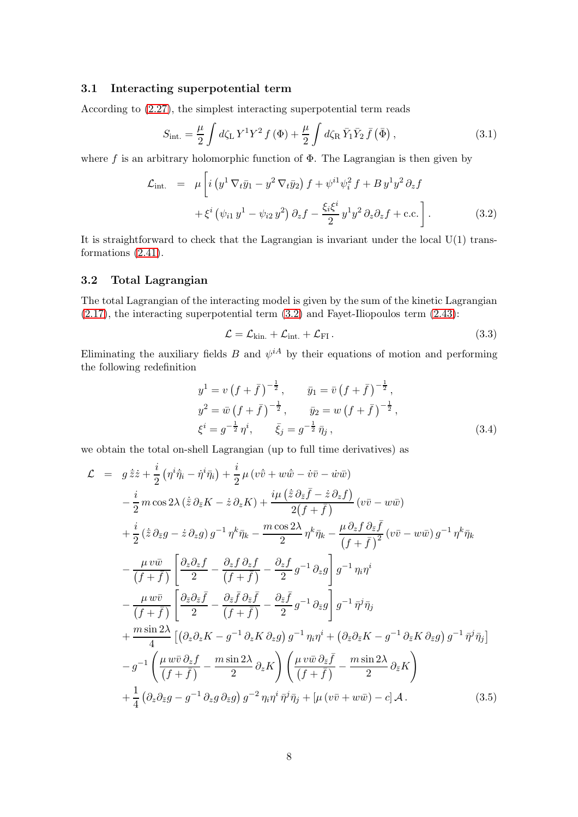### 3.1 Interacting superpotential term

According to [\(2.27\)](#page-5-3), the simplest interacting superpotential term reads

$$
S_{\text{int.}} = \frac{\mu}{2} \int d\zeta_{\text{L}} Y^1 Y^2 f(\Phi) + \frac{\mu}{2} \int d\zeta_{\text{R}} \bar{Y}_1 \bar{Y}_2 \bar{f}(\bar{\Phi}), \qquad (3.1)
$$

where f is an arbitrary holomorphic function of  $\Phi$ . The Lagrangian is then given by

<span id="page-8-0"></span>
$$
\mathcal{L}_{int.} = \mu \left[ i \left( y^1 \nabla_t \bar{y}_1 - y^2 \nabla_t \bar{y}_2 \right) f + \psi^{i1} \psi_i^2 f + B y^1 y^2 \partial_z f + \xi^i \left( \psi_{i1} y^1 - \psi_{i2} y^2 \right) \partial_z f - \frac{\xi_i \xi^i}{2} y^1 y^2 \partial_z \partial_z f + c.c. \right].
$$
\n(3.2)

It is straightforward to check that the Lagrangian is invariant under the local  $U(1)$  transformations [\(2.41\)](#page-7-0).

#### 3.2 Total Lagrangian

The total Lagrangian of the interacting model is given by the sum of the kinetic Lagrangian [\(2.17\)](#page-4-2), the interacting superpotential term [\(3.2\)](#page-8-0) and Fayet-Iliopoulos term [\(2.43\)](#page-7-1):

$$
\mathcal{L} = \mathcal{L}_{kin.} + \mathcal{L}_{int.} + \mathcal{L}_{FI}.
$$
\n(3.3)

Eliminating the auxiliary fields B and  $\psi^{iA}$  by their equations of motion and performing the following redefinition

$$
y^{1} = v \left(f + \bar{f}\right)^{-\frac{1}{2}}, \qquad \bar{y}_{1} = \bar{v} \left(f + \bar{f}\right)^{-\frac{1}{2}},
$$
  
\n
$$
y^{2} = \bar{w} \left(f + \bar{f}\right)^{-\frac{1}{2}}, \qquad \bar{y}_{2} = w \left(f + \bar{f}\right)^{-\frac{1}{2}},
$$
  
\n
$$
\xi^{i} = g^{-\frac{1}{2}} \eta^{i}, \qquad \bar{\xi}_{j} = g^{-\frac{1}{2}} \bar{\eta}_{j},
$$
\n(3.4)

we obtain the total on-shell Lagrangian (up to full time derivatives) as

$$
\mathcal{L} = g \dot{\overline{z}} \dot{z} + \frac{i}{2} (\eta^i \dot{\overline{\eta}}_i - \dot{\eta}^i \bar{\eta}_i) + \frac{i}{2} \mu (\nu \dot{\overline{v}} + \nu \dot{\overline{w}} - \dot{\nu} \overline{v} - \dot{\nu} \overline{w})
$$
  
\n
$$
- \frac{i}{2} m \cos 2\lambda (\dot{\overline{z}} \partial_{\overline{z}} K - \dot{z} \partial_{z} K) + \frac{i\mu (\dot{\overline{z}} \partial_{\overline{z}} \overline{f} - \dot{z} \partial_{z} f)}{2(f + \overline{f})} (\nu \overline{v} - \nu \overline{w})
$$
  
\n
$$
+ \frac{i}{2} (\dot{\overline{z}} \partial_{\overline{z}} g - \dot{z} \partial_{z} g) g^{-1} \eta^{k} \bar{\eta}_{k} - \frac{m \cos 2\lambda}{2} \eta^{k} \bar{\eta}_{k} - \frac{\mu \partial_{z} f \partial_{\overline{z}} \overline{f}}{(f + \overline{f})^{2}} (\nu \overline{v} - \nu \overline{w}) g^{-1} \eta^{k} \bar{\eta}_{k}
$$
  
\n
$$
- \frac{\mu \nu \overline{w}}{(f + \overline{f})} \left[ \frac{\partial_{z} \partial_{z} f}{2} - \frac{\partial_{z} f \partial_{z} f}{(f + \overline{f})} - \frac{\partial_{z} f}{2} g^{-1} \partial_{z} g \right] g^{-1} \eta_{i} \eta^{i}
$$
  
\n
$$
- \frac{\mu \overline{w}}{(f + \overline{f})} \left[ \frac{\partial_{\overline{z}} \partial_{\overline{z}} \overline{f}}{2} - \frac{\partial_{\overline{z}} \overline{f} \partial_{\overline{z}} \overline{f}}{(f + \overline{f})} - \frac{\partial_{\overline{z}} \overline{f}}{2} g^{-1} \partial_{\overline{z}} g \right] g^{-1} \bar{\eta}^{j} \bar{\eta}_{j}
$$
  
\n
$$
+ \frac{m \sin 2\lambda}{4} [(\partial_{z} \partial_{z} K - g^{-1} \partial_{z} K \partial_{z} g) g^{-1} \eta_{i} \eta^{i} + (\partial_{\overline{
$$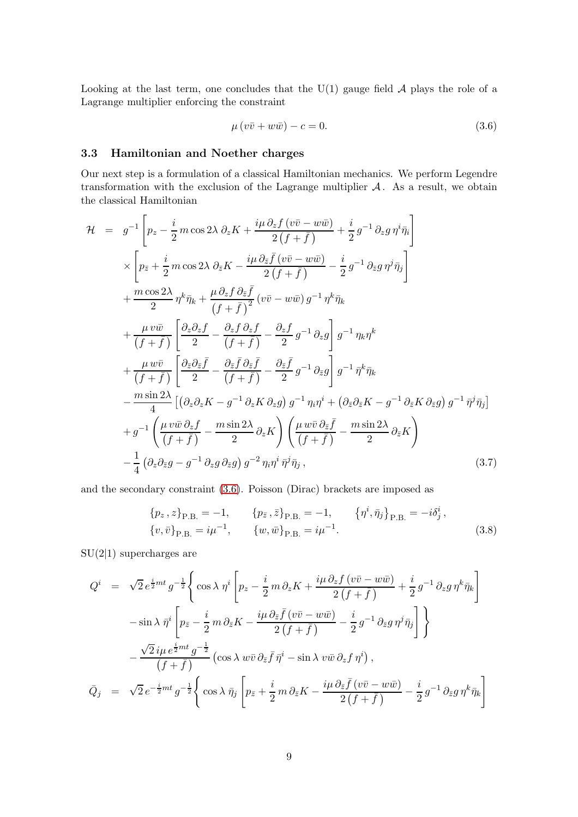Looking at the last term, one concludes that the  $U(1)$  gauge field  $A$  plays the role of a Lagrange multiplier enforcing the constraint

<span id="page-9-0"></span>
$$
\mu(v\bar{v} + w\bar{w}) - c = 0. \tag{3.6}
$$

### 3.3 Hamiltonian and Noether charges

Our next step is a formulation of a classical Hamiltonian mechanics. We perform Legendre transformation with the exclusion of the Lagrange multiplier  $A$ . As a result, we obtain the classical Hamiltonian

<span id="page-9-2"></span>
$$
\mathcal{H} = g^{-1} \left[ p_z - \frac{i}{2} m \cos 2\lambda \partial_z K + \frac{i\mu \partial_z f (v\bar{v} - w\bar{w})}{2(f + \bar{f})} + \frac{i}{2} g^{-1} \partial_z g \eta^i \bar{\eta}_i \right]
$$
\n
$$
\times \left[ p_{\bar{z}} + \frac{i}{2} m \cos 2\lambda \partial_{\bar{z}} K - \frac{i\mu \partial_{\bar{z}} \bar{f} (v\bar{v} - w\bar{w})}{2(f + \bar{f})} - \frac{i}{2} g^{-1} \partial_{\bar{z}} g \eta^j \bar{\eta}_j \right]
$$
\n
$$
+ \frac{m \cos 2\lambda}{2} \eta^k \bar{\eta}_k + \frac{\mu \partial_z f \partial_{\bar{z}} \bar{f}}{(f + \bar{f})^2} (v\bar{v} - w\bar{w}) g^{-1} \eta^k \bar{\eta}_k
$$
\n
$$
+ \frac{\mu v \bar{w}}{(f + \bar{f})} \left[ \frac{\partial_z \partial_z f}{2} - \frac{\partial_z f \partial_z f}{(f + \bar{f})} - \frac{\partial_z f}{2} g^{-1} \partial_z g \right] g^{-1} \eta_k \eta^k
$$
\n
$$
+ \frac{\mu w \bar{v}}{(f + \bar{f})} \left[ \frac{\partial_z \partial_{\bar{z}} \bar{f}}{2} - \frac{\partial_z \bar{f} \partial_{\bar{z}} \bar{f}}{(f + \bar{f})} - \frac{\partial_z \bar{f}}{2} g^{-1} \partial_{\bar{z}} g \right] g^{-1} \bar{\eta}^k \bar{\eta}_k
$$
\n
$$
- \frac{m \sin 2\lambda}{4} \left[ (\partial_z \partial_z K - g^{-1} \partial_z K \partial_z g) g^{-1} \eta_k \eta^i + (\partial_{\bar{z}} \partial_{\bar{z}} K - g^{-1} \partial_{\bar{z}} K \partial_{\bar{z}} g) g^{-1} \bar{\eta}^j \bar{\eta}_j \right]
$$
\n
$$
+ g^{-1} \left( \frac{\mu v \bar{w} \partial_z f}{(f + \bar{f})} - \frac{m \sin 2\lambda}{2} \partial_z K \right) \left( \frac{\mu w \bar{v} \partial_{\bar{z}} \bar{f}}{(f + \bar{f})} -
$$

and the secondary constraint [\(3.6\)](#page-9-0). Poisson (Dirac) brackets are imposed as

<span id="page-9-1"></span>
$$
\{p_z, z\}_{\text{P.B.}} = -1, \qquad \{p_{\bar{z}}, \bar{z}\}_{\text{P.B.}} = -1, \qquad \{\eta^i, \bar{\eta}_j\}_{\text{P.B.}} = -i\delta^i_j, \{v, \bar{v}\}_{\text{P.B.}} = i\mu^{-1}, \qquad \{w, \bar{w}\}_{\text{P.B.}} = i\mu^{-1}.
$$
\n(3.8)

 $SU(2|1)$  supercharges are

$$
Q^{i} = \sqrt{2} e^{\frac{i}{2}mt} g^{-\frac{1}{2}} \Bigg\{ \cos \lambda \eta^{i} \Bigg[ p_{z} - \frac{i}{2} m \partial_{z} K + \frac{i\mu \partial_{z} f (v\bar{v} - w\bar{w})}{2(f + \bar{f})} + \frac{i}{2} g^{-1} \partial_{z} g \eta^{k} \bar{\eta}_{k} \Bigg]
$$
  

$$
- \sin \lambda \bar{\eta}^{i} \Bigg[ p_{\bar{z}} - \frac{i}{2} m \partial_{\bar{z}} K - \frac{i\mu \partial_{\bar{z}} \bar{f} (v\bar{v} - w\bar{w})}{2(f + \bar{f})} - \frac{i}{2} g^{-1} \partial_{\bar{z}} g \eta^{j} \bar{\eta}_{j} \Bigg] \Bigg\}
$$
  

$$
- \frac{\sqrt{2} i\mu e^{\frac{i}{2}mt} g^{-\frac{1}{2}}}{(f + \bar{f})} (\cos \lambda w\bar{v} \partial_{\bar{z}} \bar{f} \bar{\eta}^{i} - \sin \lambda v\bar{w} \partial_{z} f \eta^{i}),
$$
  

$$
\bar{Q}_{j} = \sqrt{2} e^{-\frac{i}{2}mt} g^{-\frac{1}{2}} \Bigg\{ \cos \lambda \bar{\eta}_{j} \Bigg[ p_{\bar{z}} + \frac{i}{2} m \partial_{\bar{z}} K - \frac{i\mu \partial_{\bar{z}} \bar{f} (v\bar{v} - w\bar{w})}{2(f + \bar{f})} - \frac{i}{2} g^{-1} \partial_{\bar{z}} g \eta^{k} \bar{\eta}_{k} \Bigg]
$$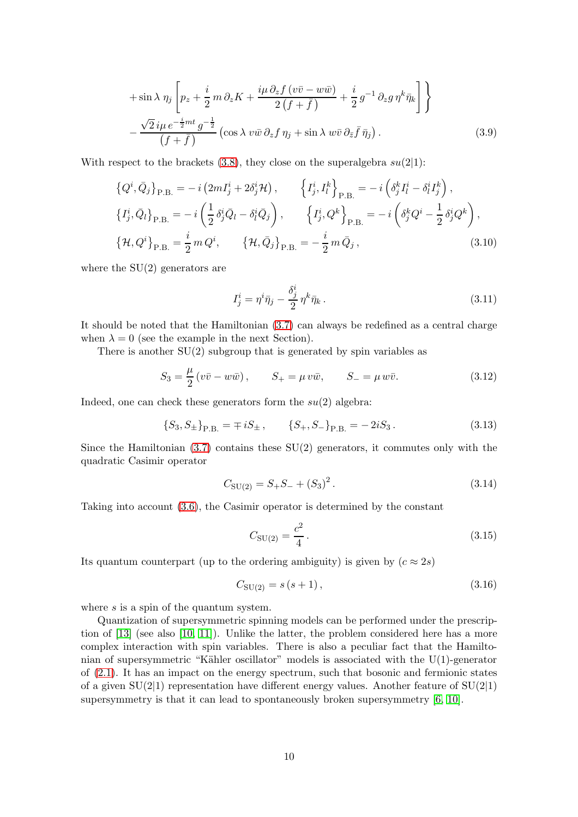$$
+\sin\lambda\,\eta_j\left[p_z+\frac{i}{2}\,m\,\partial_z K+\frac{i\mu\,\partial_z f\left(v\bar{v}-w\bar{w}\right)}{2\left(f+\bar{f}\right)}+\frac{i}{2}\,g^{-1}\,\partial_z g\,\eta^k\bar{\eta}_k\right]\right\}
$$

$$
-\frac{\sqrt{2}\,i\mu\,e^{-\frac{i}{2}mt}\,g^{-\frac{1}{2}}}{\left(f+\bar{f}\right)}\left(\cos\lambda\,v\bar{w}\,\partial_z f\,\eta_j+\sin\lambda\,w\bar{v}\,\partial_{\bar{z}}\bar{f}\,\bar{\eta}_j\right).
$$
(3.9)

With respect to the brackets  $(3.8)$ , they close on the superalgebra  $su(2|1)$ :

$$
\{Q^{i}, \bar{Q}_{j}\}_{\text{P.B.}} = -i\left(2mI_{j}^{i} + 2\delta_{j}^{i}\mathcal{H}\right), \qquad \left\{I_{j}^{i}, I_{l}^{k}\right\}_{\text{P.B.}} = -i\left(\delta_{j}^{k}I_{l}^{i} - \delta_{l}^{i}I_{j}^{k}\right),
$$
  
\n
$$
\{I_{j}^{i}, \bar{Q}_{l}\}_{\text{P.B.}} = -i\left(\frac{1}{2}\delta_{j}^{i}\bar{Q}_{l} - \delta_{l}^{i}\bar{Q}_{j}\right), \qquad \left\{I_{j}^{i}, Q^{k}\right\}_{\text{P.B.}} = -i\left(\delta_{j}^{k}Q^{i} - \frac{1}{2}\delta_{j}^{i}Q^{k}\right),
$$
  
\n
$$
\{\mathcal{H}, Q^{i}\}_{\text{P.B.}} = \frac{i}{2}mQ^{i}, \qquad \{\mathcal{H}, \bar{Q}_{j}\}_{\text{P.B.}} = -\frac{i}{2}m\bar{Q}_{j},
$$
\n(3.10)

where the SU(2) generators are

<span id="page-10-0"></span>
$$
I_j^i = \eta^i \bar{\eta}_j - \frac{\delta_j^i}{2} \eta^k \bar{\eta}_k \,. \tag{3.11}
$$

It should be noted that the Hamiltonian [\(3.7\)](#page-9-2) can always be redefined as a central charge when  $\lambda = 0$  (see the example in the next Section).

There is another  $SU(2)$  subgroup that is generated by spin variables as

$$
S_3 = \frac{\mu}{2} (v\bar{v} - w\bar{w}), \qquad S_+ = \mu v\bar{w}, \qquad S_- = \mu w\bar{v}. \tag{3.12}
$$

Indeed, one can check these generators form the  $su(2)$  algebra:

$$
\{S_3, S_{\pm}\}_{\text{P.B.}} = \mp iS_{\pm}, \qquad \{S_+, S_-\}_{\text{P.B.}} = -2iS_3. \tag{3.13}
$$

Since the Hamiltonian  $(3.7)$  contains these  $SU(2)$  generators, it commutes only with the quadratic Casimir operator

$$
C_{\text{SU(2)}} = S_+ S_- + (S_3)^2. \tag{3.14}
$$

Taking into account [\(3.6\)](#page-9-0), the Casimir operator is determined by the constant

$$
C_{\rm SU(2)} = \frac{c^2}{4} \,. \tag{3.15}
$$

Its quantum counterpart (up to the ordering ambiguity) is given by  $(c \approx 2s)$ 

$$
C_{\text{SU(2)}} = s(s+1), \tag{3.16}
$$

where  $s$  is a spin of the quantum system.

Quantization of supersymmetric spinning models can be performed under the prescription of [\[13\]](#page-14-8) (see also [\[10,](#page-14-5) [11\]](#page-14-6)). Unlike the latter, the problem considered here has a more complex interaction with spin variables. There is also a peculiar fact that the Hamiltonian of supersymmetric "Kähler oscillator" models is associated with the  $U(1)$ -generator of [\(2.1\)](#page-2-2). It has an impact on the energy spectrum, such that bosonic and fermionic states of a given  $SU(2|1)$  representation have different energy values. Another feature of  $SU(2|1)$ supersymmetry is that it can lead to spontaneously broken supersymmetry [\[6,](#page-14-1) [10\]](#page-14-5).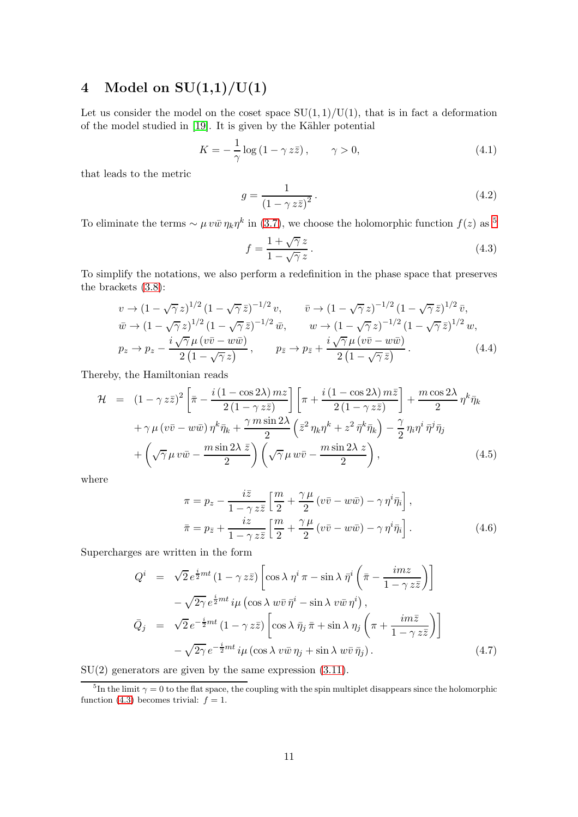# 4 Model on  $SU(1,1)/U(1)$

Let us consider the model on the coset space  $SU(1, 1)/U(1)$ , that is in fact a deformation of the model studied in  $[19]$ . It is given by the Kähler potential

$$
K = -\frac{1}{\gamma} \log \left( 1 - \gamma z \bar{z} \right), \qquad \gamma > 0,
$$
\n
$$
(4.1)
$$

that leads to the metric

$$
g = \frac{1}{\left(1 - \gamma z \bar{z}\right)^2}.\tag{4.2}
$$

To eliminate the terms  $\sim \mu v \bar{w} \eta_k \eta^k$  in [\(3.7\)](#page-9-2), we choose the holomorphic function  $f(z)$  as <sup>[5](#page-11-0)</sup>

<span id="page-11-1"></span>
$$
f = \frac{1 + \sqrt{\gamma} z}{1 - \sqrt{\gamma} z}.
$$
\n(4.3)

To simplify the notations, we also perform a redefinition in the phase space that preserves the brackets [\(3.8\)](#page-9-1):

$$
v \to (1 - \sqrt{\gamma} z)^{1/2} (1 - \sqrt{\gamma} \bar{z})^{-1/2} v, \qquad \bar{v} \to (1 - \sqrt{\gamma} z)^{-1/2} (1 - \sqrt{\gamma} \bar{z})^{1/2} \bar{v},
$$
  
\n
$$
\bar{w} \to (1 - \sqrt{\gamma} z)^{1/2} (1 - \sqrt{\gamma} \bar{z})^{-1/2} \bar{w}, \qquad w \to (1 - \sqrt{\gamma} z)^{-1/2} (1 - \sqrt{\gamma} \bar{z})^{1/2} w,
$$
  
\n
$$
p_z \to p_z - \frac{i \sqrt{\gamma} \mu (v\bar{v} - w\bar{w})}{2 (1 - \sqrt{\gamma} z)}, \qquad p_{\bar{z}} \to p_{\bar{z}} + \frac{i \sqrt{\gamma} \mu (v\bar{v} - w\bar{w})}{2 (1 - \sqrt{\gamma} \bar{z})}.
$$
\n(4.4)

Thereby, the Hamiltonian reads

<span id="page-11-2"></span>
$$
\mathcal{H} = (1 - \gamma z\bar{z})^2 \left[ \bar{\pi} - \frac{i(1 - \cos 2\lambda) \, m z}{2(1 - \gamma z\bar{z})} \right] \left[ \pi + \frac{i(1 - \cos 2\lambda) \, m \bar{z}}{2(1 - \gamma z\bar{z})} \right] + \frac{m \cos 2\lambda}{2} \, \eta^k \bar{\eta}_k
$$

$$
+ \gamma \mu \left( v\bar{v} - w\bar{w} \right) \eta^k \bar{\eta}_k + \frac{\gamma \, m \sin 2\lambda}{2} \left( \bar{z}^2 \, \eta_k \eta^k + z^2 \, \bar{\eta}^k \bar{\eta}_k \right) - \frac{\gamma}{2} \, \eta_i \eta^i \, \bar{\eta}^j \bar{\eta}_j
$$

$$
+ \left( \sqrt{\gamma} \mu \, v\bar{w} - \frac{m \sin 2\lambda \, \bar{z}}{2} \right) \left( \sqrt{\gamma} \mu \, w\bar{v} - \frac{m \sin 2\lambda \, z}{2} \right), \tag{4.5}
$$

where

$$
\pi = p_z - \frac{i\bar{z}}{1 - \gamma z\bar{z}} \left[ \frac{m}{2} + \frac{\gamma \mu}{2} (v\bar{v} - w\bar{w}) - \gamma \eta^i \bar{\eta}_i \right],
$$
  

$$
\bar{\pi} = p_{\bar{z}} + \frac{iz}{1 - \gamma z\bar{z}} \left[ \frac{m}{2} + \frac{\gamma \mu}{2} (v\bar{v} - w\bar{w}) - \gamma \eta^i \bar{\eta}_i \right].
$$
 (4.6)

Supercharges are written in the form

$$
Q^{i} = \sqrt{2} e^{\frac{i}{2}mt} (1 - \gamma z\bar{z}) \left[ \cos \lambda \ \eta^{i} \ \pi - \sin \lambda \ \bar{\eta}^{i} \left( \bar{\pi} - \frac{imz}{1 - \gamma z\bar{z}} \right) \right]
$$

$$
- \sqrt{2\gamma} e^{\frac{i}{2}mt} i\mu \left( \cos \lambda \ w\bar{v} \ \bar{\eta}^{i} - \sin \lambda \ v\bar{w} \ \eta^{i} \right),
$$

$$
\bar{Q}_{j} = \sqrt{2} e^{-\frac{i}{2}mt} (1 - \gamma z\bar{z}) \left[ \cos \lambda \ \bar{\eta}_{j} \ \bar{\pi} + \sin \lambda \ \eta_{j} \left( \pi + \frac{im\bar{z}}{1 - \gamma z\bar{z}} \right) \right]
$$

$$
- \sqrt{2\gamma} e^{-\frac{i}{2}mt} i\mu \left( \cos \lambda \ v\bar{w} \ \eta_{j} + \sin \lambda \ w\bar{v} \ \bar{\eta}_{j} \right). \tag{4.7}
$$

 $SU(2)$  generators are given by the same expression  $(3.11)$ .

<span id="page-11-0"></span><sup>&</sup>lt;sup>5</sup>In the limit  $\gamma = 0$  to the flat space, the coupling with the spin multiplet disappears since the holomorphic function [\(4.3\)](#page-11-1) becomes trivial:  $f = 1$ .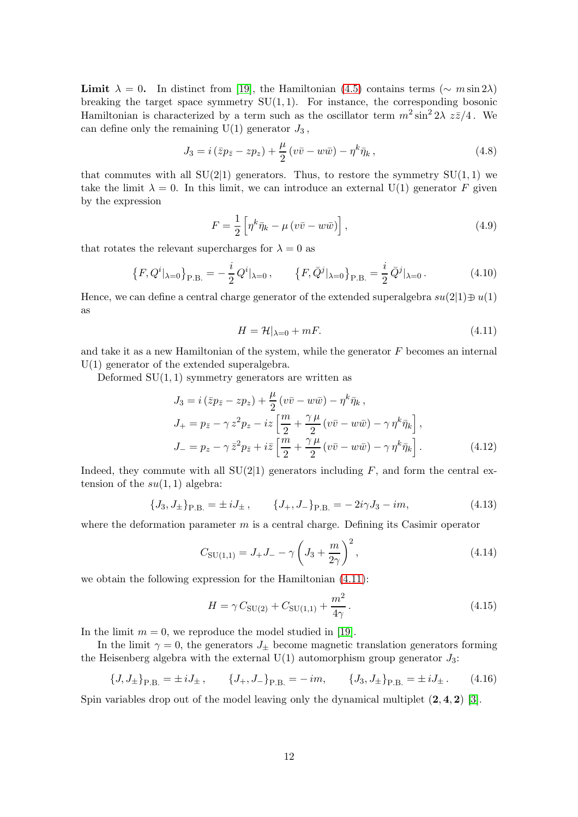Limit  $\lambda = 0$ . In distinct from [\[19\]](#page-15-2), the Hamiltonian [\(4.5\)](#page-11-2) contains terms ( $\sim m \sin 2\lambda$ ) breaking the target space symmetry  $SU(1,1)$ . For instance, the corresponding bosonic Hamiltonian is characterized by a term such as the oscillator term  $m^2 \sin^2 2\lambda z\bar{z}/4$ . We can define only the remaining  $U(1)$  generator  $J_3$ ,

$$
J_3 = i\left(\bar{z}p_{\bar{z}} - zp_z\right) + \frac{\mu}{2}\left(v\bar{v} - w\bar{w}\right) - \eta^k \bar{\eta}_k, \qquad (4.8)
$$

that commutes with all  $SU(2|1)$  generators. Thus, to restore the symmetry  $SU(1,1)$  we take the limit  $\lambda = 0$ . In this limit, we can introduce an external U(1) generator F given by the expression

$$
F = \frac{1}{2} \left[ \eta^k \bar{\eta}_k - \mu \left( v \bar{v} - w \bar{w} \right) \right],\tag{4.9}
$$

that rotates the relevant supercharges for  $\lambda = 0$  as

$$
\left\{F, Q^i|_{\lambda=0}\right\}_{\text{P.B.}} = -\frac{i}{2} Q^i|_{\lambda=0}, \qquad \left\{F, \bar{Q}^j|_{\lambda=0}\right\}_{\text{P.B.}} = \frac{i}{2} \bar{Q}^j|_{\lambda=0}.
$$
 (4.10)

Hence, we can define a central charge generator of the extended superalgebra  $su(2|1)\oplus u(1)$ as

<span id="page-12-0"></span>
$$
H = \mathcal{H}|_{\lambda=0} + mF. \tag{4.11}
$$

and take it as a new Hamiltonian of the system, while the generator  $F$  becomes an internal U(1) generator of the extended superalgebra.

Deformed  $SU(1,1)$  symmetry generators are written as

$$
J_3 = i(\bar{z}p_{\bar{z}} - zp_z) + \frac{\mu}{2} (v\bar{v} - w\bar{w}) - \eta^k \bar{\eta}_k ,
$$
  
\n
$$
J_+ = p_{\bar{z}} - \gamma z^2 p_z - iz \left[ \frac{m}{2} + \frac{\gamma \mu}{2} (v\bar{v} - w\bar{w}) - \gamma \eta^k \bar{\eta}_k \right],
$$
  
\n
$$
J_- = p_z - \gamma \bar{z}^2 p_{\bar{z}} + i\bar{z} \left[ \frac{m}{2} + \frac{\gamma \mu}{2} (v\bar{v} - w\bar{w}) - \gamma \eta^k \bar{\eta}_k \right].
$$
\n(4.12)

Indeed, they commute with all  $SU(2|1)$  generators including F, and form the central extension of the  $su(1,1)$  algebra:

$$
\{J_3, J_{\pm}\}_{\text{P.B.}} = \pm i J_{\pm} , \qquad \{J_+, J_-\}_{\text{P.B.}} = -2i\gamma J_3 - im, \tag{4.13}
$$

where the deformation parameter  $m$  is a central charge. Defining its Casimir operator

$$
C_{\rm SU(1,1)} = J_{+}J_{-} - \gamma \left( J_{3} + \frac{m}{2\gamma} \right)^{2}, \qquad (4.14)
$$

we obtain the following expression for the Hamiltonian [\(4.11\)](#page-12-0):

$$
H = \gamma C_{\text{SU(2)}} + C_{\text{SU(1,1)}} + \frac{m^2}{4\gamma}.
$$
\n(4.15)

In the limit  $m = 0$ , we reproduce the model studied in [\[19\]](#page-15-2).

In the limit  $\gamma = 0$ , the generators  $J_{+}$  become magnetic translation generators forming the Heisenberg algebra with the external  $U(1)$  automorphism group generator  $J_3$ :

$$
\{J, J_{\pm}\}_\text{P.B.} = \pm i J_{\pm} , \qquad \{J_{+}, J_{-}\}_\text{P.B.} = -i m, \qquad \{J_{3}, J_{\pm}\}_\text{P.B.} = \pm i J_{\pm} . \qquad (4.16)
$$

Spin variables drop out of the model leaving only the dynamical multiplet  $(2, 4, 2)$  [\[3\]](#page-13-2).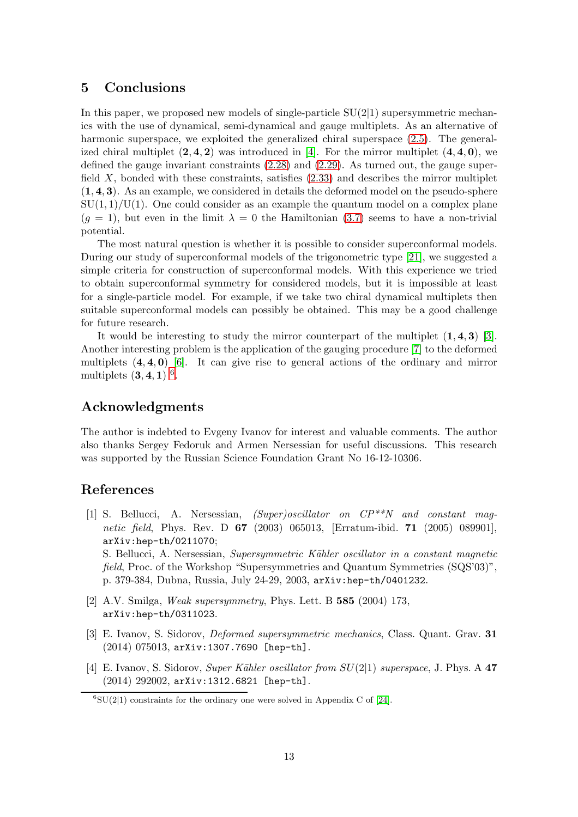## 5 Conclusions

In this paper, we proposed new models of single-particle  $SU(2|1)$  supersymmetric mechanics with the use of dynamical, semi-dynamical and gauge multiplets. As an alternative of harmonic superspace, we exploited the generalized chiral superspace [\(2.5\)](#page-3-3). The generalized chiral multiplet  $(2, 4, 2)$  was introduced in [\[4\]](#page-13-3). For the mirror multiplet  $(4, 4, 0)$ , we defined the gauge invariant constraints [\(2.28\)](#page-5-2) and [\(2.29\)](#page-5-2). As turned out, the gauge superfield  $X$ , bonded with these constraints, satisfies  $(2.33)$  and describes the mirror multiplet  $(1, 4, 3)$ . As an example, we considered in details the deformed model on the pseudo-sphere  $SU(1,1)/U(1)$ . One could consider as an example the quantum model on a complex plane  $(q = 1)$ , but even in the limit  $\lambda = 0$  the Hamiltonian [\(3.7\)](#page-9-2) seems to have a non-trivial potential.

The most natural question is whether it is possible to consider superconformal models. During our study of superconformal models of the trigonometric type [\[21\]](#page-15-4), we suggested a simple criteria for construction of superconformal models. With this experience we tried to obtain superconformal symmetry for considered models, but it is impossible at least for a single-particle model. For example, if we take two chiral dynamical multiplets then suitable superconformal models can possibly be obtained. This may be a good challenge for future research.

It would be interesting to study the mirror counterpart of the multiplet  $(1, 4, 3)$  [\[3\]](#page-13-2). Another interesting problem is the application of the gauging procedure [\[7\]](#page-14-2) to the deformed multiplets  $(4, 4, 0)$  [\[6\]](#page-14-1). It can give rise to general actions of the ordinary and mirror multiplets  $(3, 4, 1)$  <sup>[6](#page-13-4)</sup>.

# Acknowledgments

The author is indebted to Evgeny Ivanov for interest and valuable comments. The author also thanks Sergey Fedoruk and Armen Nersessian for useful discussions. This research was supported by the Russian Science Foundation Grant No 16-12-10306.

# <span id="page-13-0"></span>References

- [1] S. Bellucci, A. Nersessian, (Super)oscillator on CP\*\*N and constant magnetic field, Phys. Rev. D 67 (2003) 065013, [Erratum-ibid. 71 (2005) 089901], arXiv:hep-th/0211070; S. Bellucci, A. Nersessian, *Supersymmetric Kähler oscillator in a constant magnetic* field, Proc. of the Workshop "Supersymmetries and Quantum Symmetries (SQS'03)", p. 379-384, Dubna, Russia, July 24-29, 2003, arXiv:hep-th/0401232.
- <span id="page-13-1"></span>[2] A.V. Smilga, Weak supersymmetry, Phys. Lett. B 585 (2004) 173, arXiv:hep-th/0311023.
- <span id="page-13-2"></span>[3] E. Ivanov, S. Sidorov, Deformed supersymmetric mechanics, Class. Quant. Grav. 31 (2014) 075013, arXiv:1307.7690 [hep-th].
- <span id="page-13-3"></span>[4] E. Ivanov, S. Sidorov, *Super Kähler oscillator from SU(2*[1] superspace, J. Phys. A 47 (2014) 292002, arXiv:1312.6821 [hep-th].

<span id="page-13-4"></span> ${}^{6}SU(2|1)$  constraints for the ordinary one were solved in Appendix C of [\[24\]](#page-15-7).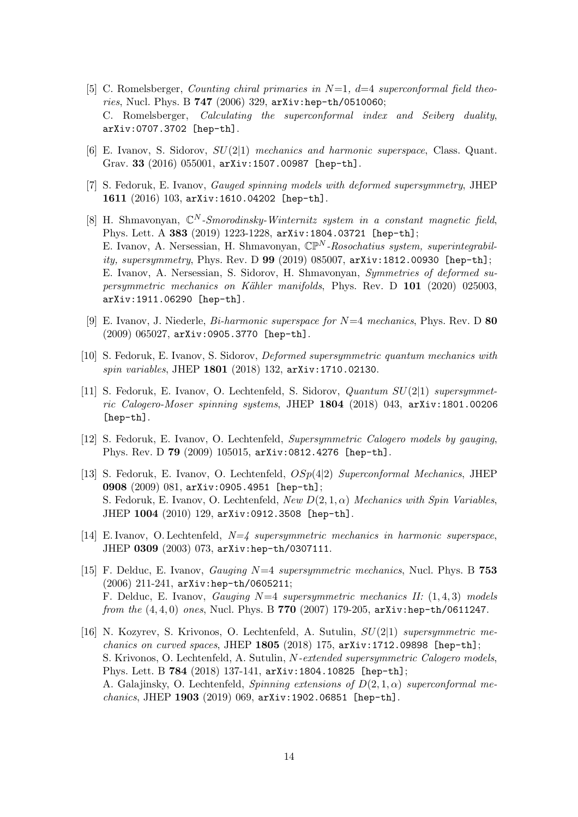- <span id="page-14-0"></span>[5] C. Romelsberger, *Counting chiral primaries in*  $N=1$ ,  $d=4$  superconformal field theories, Nucl. Phys. B 747 (2006) 329, arXiv:hep-th/0510060; C. Romelsberger, Calculating the superconformal index and Seiberg duality, arXiv:0707.3702 [hep-th].
- <span id="page-14-2"></span><span id="page-14-1"></span>[6] E. Ivanov, S. Sidorov,  $SU(2|1)$  mechanics and harmonic superspace, Class. Quant. Grav. 33 (2016) 055001, arXiv:1507.00987 [hep-th].
- [7] S. Fedoruk, E. Ivanov, Gauged spinning models with deformed supersymmetry, JHEP 1611 (2016) 103, arXiv:1610.04202 [hep-th].
- <span id="page-14-3"></span>[8] H. Shmavonyan,  $\mathbb{C}^N$ -Smorodinsky-Winternitz system in a constant magnetic field, Phys. Lett. A 383 (2019) 1223-1228, arXiv:1804.03721 [hep-th]; E. Ivanov, A. Nersessian, H. Shmavonyan,  $\mathbb{CP}^N$ -Rosochatius system, superintegrability, supersymmetry, Phys. Rev. D 99 (2019) 085007, arXiv:1812.00930 [hep-th]; E. Ivanov, A. Nersessian, S. Sidorov, H. Shmavonyan, Symmetries of deformed supersymmetric mechanics on Kähler manifolds, Phys. Rev. D 101 (2020) 025003, arXiv:1911.06290 [hep-th].
- <span id="page-14-4"></span>[9] E. Ivanov, J. Niederle,  $Bi\text{-}harmonic superspace for N=4 mechanics, Phys. Rev. D$  80 (2009) 065027, arXiv:0905.3770 [hep-th].
- <span id="page-14-5"></span>[10] S. Fedoruk, E. Ivanov, S. Sidorov, Deformed supersymmetric quantum mechanics with spin variables, JHEP 1801 (2018) 132, arXiv:1710.02130.
- <span id="page-14-6"></span>[11] S. Fedoruk, E. Ivanov, O. Lechtenfeld, S. Sidorov, Quantum SU(2|1) supersymmetric Calogero-Moser spinning systems, JHEP 1804 (2018) 043, arXiv:1801.00206 [hep-th].
- <span id="page-14-7"></span>[12] S. Fedoruk, E. Ivanov, O. Lechtenfeld, Supersymmetric Calogero models by gauging, Phys. Rev. D 79 (2009) 105015, arXiv:0812.4276 [hep-th].
- <span id="page-14-8"></span>[13] S. Fedoruk, E. Ivanov, O. Lechtenfeld, OSp(4|2) Superconformal Mechanics, JHEP 0908 (2009) 081, arXiv:0905.4951 [hep-th]; S. Fedoruk, E. Ivanov, O. Lechtenfeld,  $New D(2, 1, \alpha)$  Mechanics with Spin Variables, JHEP 1004 (2010) 129, arXiv:0912.3508 [hep-th].
- <span id="page-14-10"></span><span id="page-14-9"></span>[14] E. Ivanov, O. Lechtenfeld,  $N=4$  supersymmetric mechanics in harmonic superspace, JHEP 0309 (2003) 073, arXiv:hep-th/0307111.
- [15] F. Delduc, E. Ivanov, *Gauging*  $N=4$  supersymmetric mechanics, Nucl. Phys. B 753 (2006) 211-241, arXiv:hep-th/0605211; F. Delduc, E. Ivanov, *Gauging*  $N=4$  supersymmetric mechanics II:  $(1, 4, 3)$  models from the  $(4, 4, 0)$  ones, Nucl. Phys. B 770 (2007) 179-205,  $arXiv:hep-th/0611247$ .
- <span id="page-14-11"></span>[16] N. Kozyrev, S. Krivonos, O. Lechtenfeld, A. Sutulin, SU(2|1) supersymmetric mechanics on curved spaces, JHEP 1805 (2018) 175,  $arXiv:1712.09898$  [hep-th]; S. Krivonos, O. Lechtenfeld, A. Sutulin, N-extended supersymmetric Calogero models, Phys. Lett. B 784 (2018) 137-141, arXiv:1804.10825 [hep-th]; A. Galajinsky, O. Lechtenfeld, Spinning extensions of  $D(2,1,\alpha)$  superconformal mechanics, JHEP 1903 (2019) 069, arXiv:1902.06851 [hep-th].